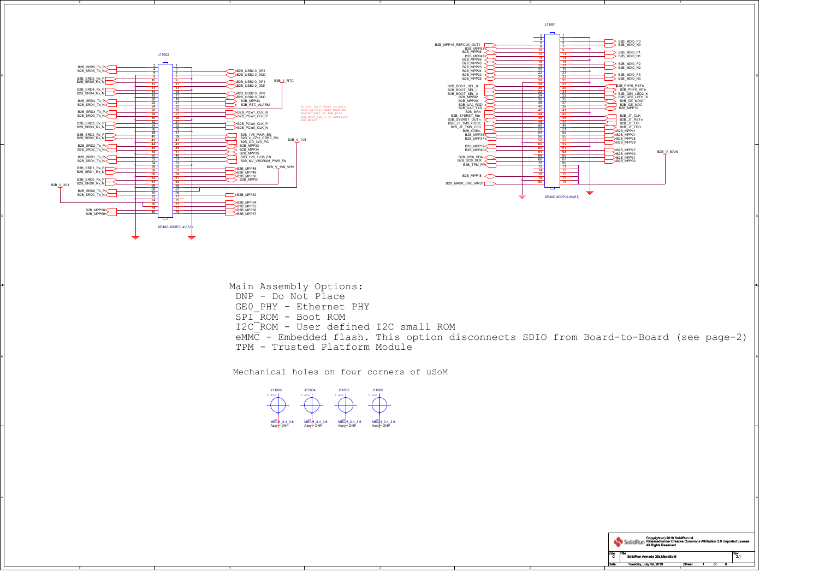2

2

C

A

Mechanical holes on four corners of uSoM

Main Assembly Options: DNP - Do Not Place GE0\_PHY - Ethernet PHY SPI\_ROM - Boot ROM I2C\_ROM - User defined I2C small ROM eMMC - Embedded flash. This option disconnects SDIO from Board-to-Board (see page-2)TPM - Trusted Platform Module



J11001





5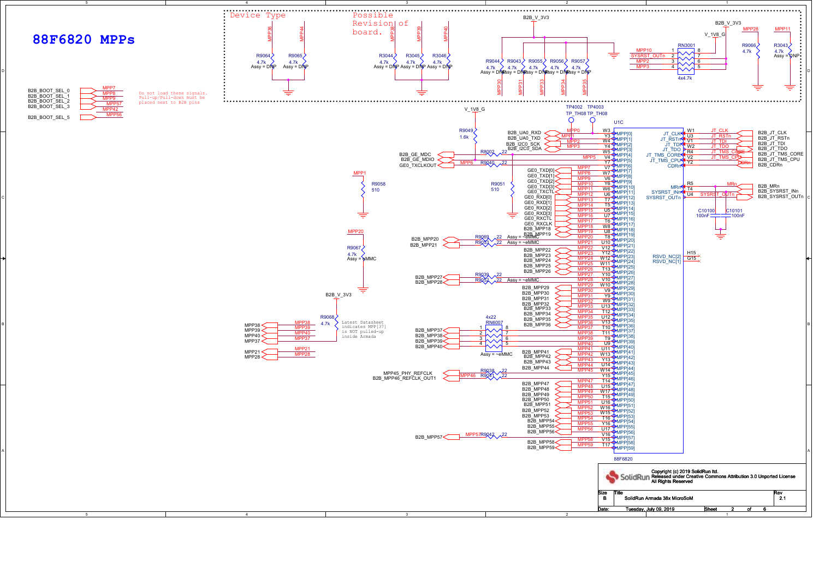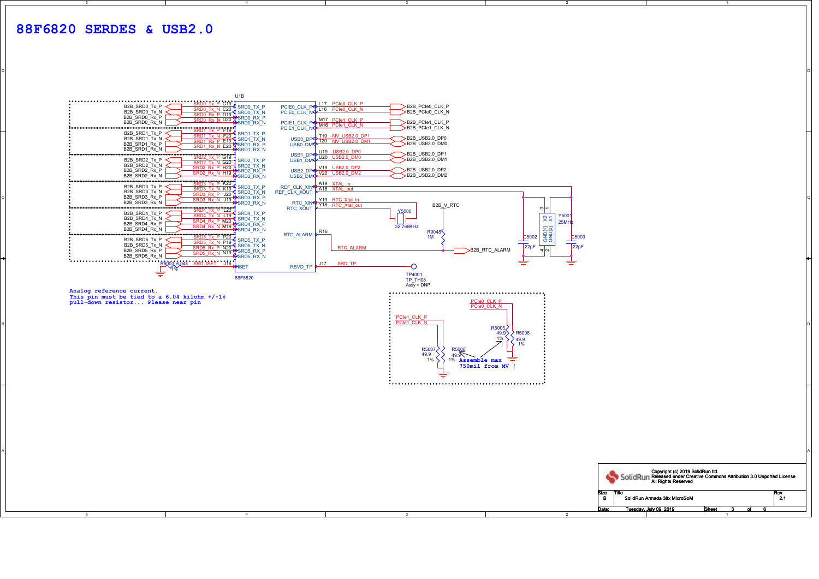4

3

о от селото на селото на селото на селото на селото на селото на селото на селото на селото на селото на селот<br>Останата на селото на селото на селото на селото на селото на селото на селото на селото на селото на селото н

| U1B<br>B2B SRD0 Tx P<br>SRD0 TX P<br>SRDO Tx N C20<br>B2B_SRD0_Tx_N<br>SRDO RX P D19 SRDO TX N<br>B2B SRD0 Rx P<br>SRDO Rx N D20 SRDO RX P<br>B2B_SRD0_Rx_N<br>SRDO RX N<br>$\frac{1}{2}$<br>B2B_SRD1_Tx_P<br>SRD1 Tx N F20 SRD1 TX P<br>B2B_SRD1_Tx_N<br>SRD1 Rx P E19 SRD1_TX_N<br>B2B SRD1 Rx P<br>SRD1 Rx N E20 SRD1 RX P<br>B2B_SRD1_Rx_N<br>SRD1_RX_N<br>$\begin{array}{c}\n\textbf{1} \textbf{1} \textbf{1} \textbf{1} \textbf{1} \textbf{1} \textbf{1} \textbf{1} \textbf{1} \textbf{1} \textbf{1} \textbf{1} \textbf{1} \textbf{1} \textbf{1} \textbf{1} \textbf{1} \textbf{1} \textbf{1} \textbf{1} \textbf{1} \textbf{1} \textbf{1} \textbf{1} \textbf{1} \textbf{1} \textbf{1} \textbf{1} \textbf{1} \textbf{1} \textbf{1} \textbf{1} \textbf{1} \textbf{1} \textbf{1} \text$<br>B2B_SRD2_Tx_P<br>SRD2 TX P<br>SRD2_Tx_N_G20<br>B2B_SRD2_Tx_N<br>SRD2 Rx P H20 SRD2 TX N<br>B2B SRD2 Rx P<br>SRD2_Rx_N_H19 \SRD2_RX_P<br>B2B_SRD2_Rx_N<br>SRD2_RX_N<br>$\frac{1}{2}$<br>B2B_SRD3_Tx_P<br>SRD3 Tx N K19 SRD3_TX_P<br>B2B SRD3 Tx N<br>SRD3 Rx P J20 SRD3 TX N<br>B2B_SRD3_Rx_P<br>SRD3_Rx_N_J19 \SRD3_RX_P<br>B2B SRD3 Rx N<br>SRD3_RX_N<br>B2B SRD4 Tx P<br>SRD4 Tx N L19 SRD4 TX P<br>B2B SRD4 Tx N<br>SRD4 Rx P M20 SRD4 TX N<br>B2B SRD4 Rx P<br>SRD4 Rx N M19 SRD4 RX P<br>B2B SRD4 Rx N<br>SRD4_RX_N<br>$\frac{1}{2}$<br>B2B SRD5 Tx P<br>SRD5 Tx N P19 SRD5 TX P<br>B2B_SRD5_Tx_N<br>$\frac{\text{SRD5 Rx} \cdot \overrightarrow{P} \cdot \text{N20}}{\text{SRD5 Rx} \cdot \overrightarrow{P} \cdot \text{N20}}$ | LL17 PCIe0 CLK P<br>>B2B PCIe0 CLK P<br>PCIEO_CLK_POLO L16 PCIEO_CLK_N<br>B2B_PCle0_CLK_N<br>PCIE0_CLK_N <sup></sup><br>M17 PCle1_CLK_P<br>B2B_PCle1_CLK_P<br>PCIE1_CLK_POM16_PCIe1_CLK_N<br>B2B_PCle1_CLK_N<br>PCIE1_CLK_NO<br>USB0_DP <del>S T19 MV_USB2.0_DP1</del><br>USB0_DM <del>P</del> T20 MV_USB2.0_DM1<br>>B2B_USB2.0_DP0<br>$>$ B2B_USB2.0_DM0<br>U19 USB2.0 DP0<br>>B2B USB2.0 DP1<br>USB1_DPO U20 USB2.0_DM0<br>B2B_USB2.0_DM1<br>USB2_DP <sup>__</sup> V19_USB2.0_DP2<br>USB2_DM <del>P</del> _V20_USB2.0_DM2_<br>>B2B_USB2.0_DP2<br>>B2B_USB2.0_DM2<br>REF_CLK_XIN<4A19 XTAL_in<br>REF_CLK_XOUT<br>Y19 RTC Xtal in<br>RTC_XIN <sup>&lt;</sup> Y18 RTC_Xtal_out<br>B2B_V_RTC<br>RTC_XOUT<br>ത∣⊷<br><b>Y5000</b><br>Y500<br>$x\overline{x}$<br>$25$ MH $\frac{1}{2}$<br>32.768KHz<br>$\frac{4}{2}$ GND[1]<br>GND[0]<br>RTC_ALARM R16<br>R9048<br>1M<br>$\frac{\text{C5002}}{\sqrt{\text{22pF}}}$<br>C5003<br>$\sqrt{22pF}$<br><b>RTC ALARM</b> |                                           |
|------------------------------------------------------------------------------------------------------------------------------------------------------------------------------------------------------------------------------------------------------------------------------------------------------------------------------------------------------------------------------------------------------------------------------------------------------------------------------------------------------------------------------------------------------------------------------------------------------------------------------------------------------------------------------------------------------------------------------------------------------------------------------------------------------------------------------------------------------------------------------------------------------------------------------------------------------------------------------------------------------------------------------------------------------------------------------------------------------------------------------------------------------------------------------------------------------------------------------------------------------------------------------------------------------------------------------------------------------------------------------------------------------------------------------------------------------------------------------------------------------------------------------------|-------------------------------------------------------------------------------------------------------------------------------------------------------------------------------------------------------------------------------------------------------------------------------------------------------------------------------------------------------------------------------------------------------------------------------------------------------------------------------------------------------------------------------------------------------------------------------------------------------------------------------------------------------------------------------------------------------------------------------------------------------------------------------------------------------------------------------------------------------------------------------------------------------------------------------------------------------------|-------------------------------------------|
| B2B SRD5 Rx P<br>SRD5 Rx N N19 X SRD5 RX P<br>B2B SRD5 Rx N<br>SRD5_RX_N<br><b>ISET</b><br>₹<br>88F6820<br>Analog reference current.<br>This pin must be tied to a $6.04$ kilohm $+/-1$ <sup>8</sup><br>pull-down resistor Please near pin                                                                                                                                                                                                                                                                                                                                                                                                                                                                                                                                                                                                                                                                                                                                                                                                                                                                                                                                                                                                                                                                                                                                                                                                                                                                                         | B2B_RTC_ALARM<br>≑<br>₹<br>SRD TP<br>J17<br><b>RSVD TP</b><br>TP4001<br>TP TH08<br>$Assy = DNP$<br>PCIe0 CLK P<br>PCIe0 CLK N<br>PCIe1 CLK P<br>PCIe1 CLK N<br>R5005<br>$\overline{\phantom{1}}$ R5006<br>49.9)<br>$1\%$<br>$\overline{49.9}$<br>1%<br>R5007<br>R5008<br>49.9<br>49.9<br>₹<br>$1\%$<br>1% Assemble max<br>750mil from MV !                                                                                                                                                                                                                                                                                                                                                                                                                                                                                                                                                                                                                  |                                           |
| $\overline{4}$                                                                                                                                                                                                                                                                                                                                                                                                                                                                                                                                                                                                                                                                                                                                                                                                                                                                                                                                                                                                                                                                                                                                                                                                                                                                                                                                                                                                                                                                                                                     | Copyright (c) 2019 SolidRun Itd.<br>SolidRun Released under Creative Commons Attribution 3.0 Unported License<br>All Rights Reserved<br>Size<br>Title<br>SolidRun Armada 38x MicroSoM<br><b>B</b><br>Tuesday, July 09, 2019<br>Sheet<br>Date:<br>-3                                                                                                                                                                                                                                                                                                                                                                                                                                                                                                                                                                                                                                                                                                         | Rev<br>2.1<br>of<br>-3-<br>$\overline{1}$ |

2

1

D

## **88F6820 SERDES & USB2.0**

5



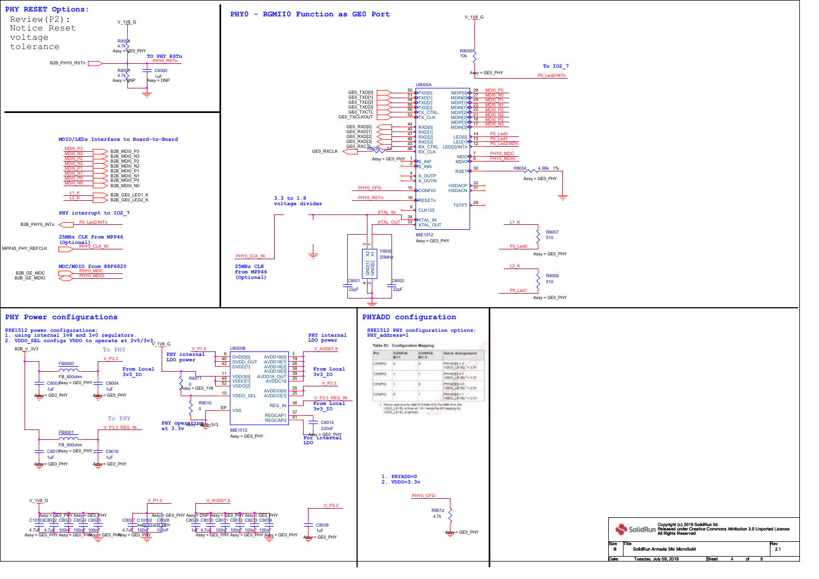

|     | Copyright (c) 2019 SolidRun Itd.<br>SolidRun Released under Creative Commons Attribution 3.0 Unported License<br>All Rights Reserved |  |  |            |  |
|-----|--------------------------------------------------------------------------------------------------------------------------------------|--|--|------------|--|
| że. | Title                                                                                                                                |  |  | Rev<br>2.1 |  |
| B   | SolidRun Armada 38x MicroSoM                                                                                                         |  |  |            |  |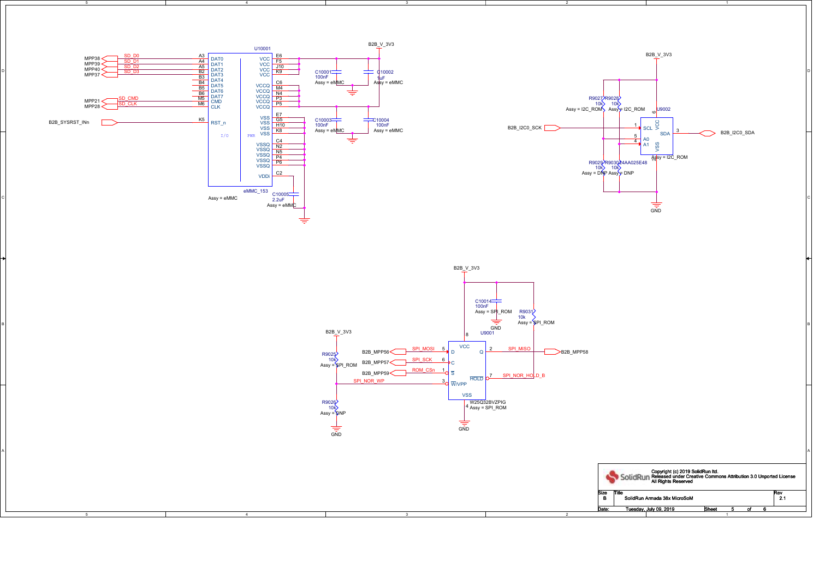4

4

5

3

3

2

2

1

D

C

A